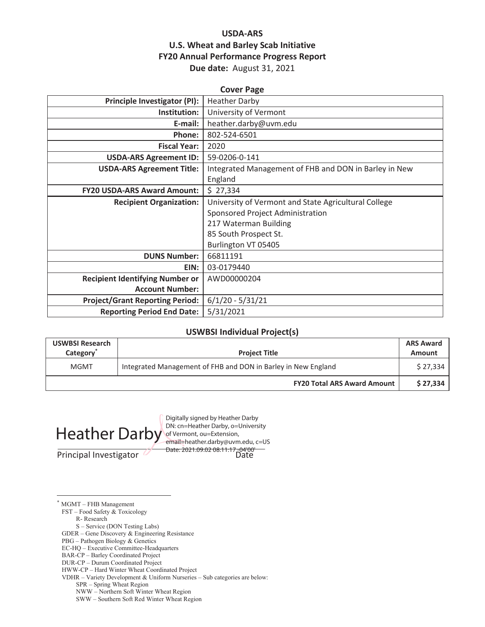# **USDA-ARS U.S. Wheat and Barley Scab Initiative FY20 Annual Performance Progress Report Due date:** August 31, 2021

| <b>Cover Page</b>                      |                                                       |  |  |  |
|----------------------------------------|-------------------------------------------------------|--|--|--|
| <b>Principle Investigator (PI):</b>    | <b>Heather Darby</b>                                  |  |  |  |
| Institution:                           | University of Vermont                                 |  |  |  |
| E-mail:                                | heather.darby@uvm.edu                                 |  |  |  |
| Phone:                                 | 802-524-6501                                          |  |  |  |
| <b>Fiscal Year:</b>                    | 2020                                                  |  |  |  |
| <b>USDA-ARS Agreement ID:</b>          | 59-0206-0-141                                         |  |  |  |
| <b>USDA-ARS Agreement Title:</b>       | Integrated Management of FHB and DON in Barley in New |  |  |  |
|                                        | England                                               |  |  |  |
| <b>FY20 USDA-ARS Award Amount:</b>     | \$27,334                                              |  |  |  |
| <b>Recipient Organization:</b>         | University of Vermont and State Agricultural College  |  |  |  |
|                                        | Sponsored Project Administration                      |  |  |  |
|                                        | 217 Waterman Building                                 |  |  |  |
|                                        | 85 South Prospect St.                                 |  |  |  |
|                                        | Burlington VT 05405                                   |  |  |  |
| <b>DUNS Number:</b>                    | 66811191                                              |  |  |  |
| EIN:                                   | 03-0179440                                            |  |  |  |
| <b>Recipient Identifying Number or</b> | AWD00000204                                           |  |  |  |
| <b>Account Number:</b>                 |                                                       |  |  |  |
| <b>Project/Grant Reporting Period:</b> | $6/1/20 - 5/31/21$                                    |  |  |  |
| <b>Reporting Period End Date:</b>      | 5/31/2021                                             |  |  |  |

#### **USWBSI Individual Project(s)**

| <b>USWBSI Research</b><br>Category <sup>®</sup> | <b>Project Title</b>                                          | <b>ARS Award</b><br><b>Amount</b> |
|-------------------------------------------------|---------------------------------------------------------------|-----------------------------------|
| <b>MGMT</b>                                     | Integrated Management of FHB and DON in Barley in New England | \$27.334                          |
|                                                 | <b>FY20 Total ARS Award Amount</b>                            | \$27.334                          |



Principal Investigator Date Date: 2021.09.02 08:11:17 -04'00'Digitally signed by Heather Darby<br>DN: cn=Heather Darby, o=University of Vermont, ou=Extension, email=heather.darby@uvm.edu, c=US

\* MGMT – FHB Management

FST – Food Safety & Toxicology

R- Research

S – Service (DON Testing Labs)

GDER – Gene Discovery & Engineering Resistance

PBG – Pathogen Biology & Genetics

EC-HQ – Executive Committee-Headquarters

HWW-CP – Hard Winter Wheat Coordinated Project

VDHR – Variety Development & Uniform Nurseries – Sub categories are below:

SPR – Spring Wheat Region

NWW – Northern Soft Winter Wheat Region

SWW – Southern Soft Red Winter Wheat Region

BAR-CP – Barley Coordinated Project

DUR-CP – Durum Coordinated Project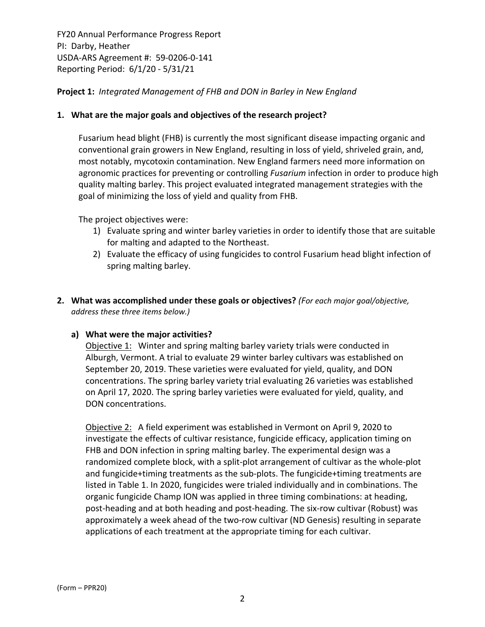### **Project 1:** *Integrated Management of FHB and DON in Barley in New England*

### **1. What are the major goals and objectives of the research project?**

Fusarium head blight (FHB) is currently the most significant disease impacting organic and conventional grain growers in New England, resulting in loss of yield, shriveled grain, and, most notably, mycotoxin contamination. New England farmers need more information on agronomic practices for preventing or controlling *Fusarium* infection in order to produce high quality malting barley. This project evaluated integrated management strategies with the goal of minimizing the loss of yield and quality from FHB.

The project objectives were:

- 1) Evaluate spring and winter barley varieties in order to identify those that are suitable for malting and adapted to the Northeast.
- 2) Evaluate the efficacy of using fungicides to control Fusarium head blight infection of spring malting barley.
- **2. What was accomplished under these goals or objectives?** *(For each major goal/objective, address these three items below.)*

#### **a) What were the major activities?**

Objective 1: Winter and spring malting barley variety trials were conducted in Alburgh, Vermont. A trial to evaluate 29 winter barley cultivars was established on September 20, 2019. These varieties were evaluated for yield, quality, and DON concentrations. The spring barley variety trial evaluating 26 varieties was established on April 17, 2020. The spring barley varieties were evaluated for yield, quality, and DON concentrations.

Objective 2: A field experiment was established in Vermont on April 9, 2020 to investigate the effects of cultivar resistance, fungicide efficacy, application timing on FHB and DON infection in spring malting barley. The experimental design was a randomized complete block, with a split‐plot arrangement of cultivar as the whole‐plot and fungicide+timing treatments as the sub‐plots. The fungicide+timing treatments are listed in Table 1. In 2020, fungicides were trialed individually and in combinations. The organic fungicide Champ ION was applied in three timing combinations: at heading, post‐heading and at both heading and post‐heading. The six‐row cultivar (Robust) was approximately a week ahead of the two-row cultivar (ND Genesis) resulting in separate applications of each treatment at the appropriate timing for each cultivar.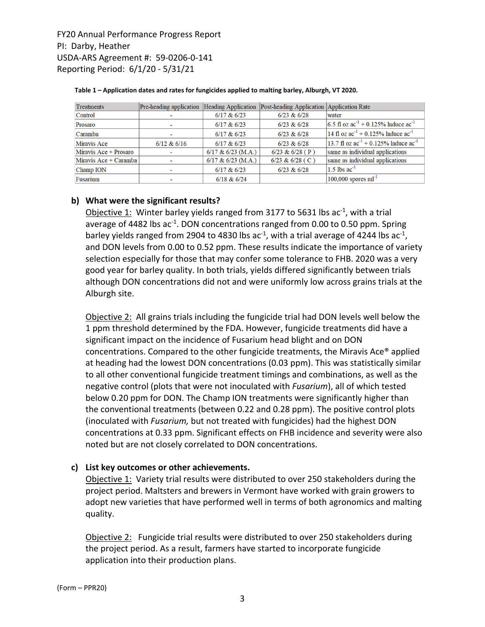| <b>Treatments</b>     | Pre-heading application Heading Application |                        | Post-heading Application Application Rate |                                                |
|-----------------------|---------------------------------------------|------------------------|-------------------------------------------|------------------------------------------------|
| Control               |                                             | $6/17$ & $6/23$        | $6/23$ & $6/28$                           | water                                          |
| Prosaro               |                                             | $6/17$ & $6/23$        | $6/23$ & $6/28$                           | 6.5 fl oz $ac^{-1}$ + 0.125% Induce $ac^{-1}$  |
| Caramba               |                                             | $6/17$ & $6/23$        | 6/23 & 6/28                               | 14 fl oz $ac^{-1}$ + 0.125% Induce $ac^{-1}$   |
| Miravis Ace           | 6/12 & 6/16                                 | $6/17$ & $6/23$        | $6/23$ & $6/28$                           | 13.7 fl oz $ac^{-1}$ + 0.125% Induce $ac^{-1}$ |
| Miravis Ace + Prosaro |                                             | $6/17$ & $6/23$ (M.A.) | 6/23 & 6/28 (P)                           | same as individual applications                |
| Miravis Ace + Caramba |                                             | $6/17$ & $6/23$ (M.A.) | $6/23 & 6/28$ (C)                         | same as individual applications                |
| Champ ION             |                                             | $6/17$ & $6/23$        | $6/23$ & $6/28$                           | $1.5$ lbs ac <sup>-1</sup>                     |
| Fusarium              |                                             | $6/18$ & $6/24$        |                                           | $100,000$ spores ml <sup>-1</sup>              |

#### **Table 1 – Application dates and rates for fungicides applied to malting barley, Alburgh, VT 2020.**

#### **b) What were the significant results?**

Objective 1: Winter barley yields ranged from 3177 to 5631 lbs  $ac<sup>-1</sup>$ , with a trial average of 4482 lbs  $ac^{-1}$ . DON concentrations ranged from 0.00 to 0.50 ppm. Spring barley yields ranged from 2904 to 4830 lbs ac<sup>-1</sup>, with a trial average of 4244 lbs ac<sup>-1</sup>, and DON levels from 0.00 to 0.52 ppm. These results indicate the importance of variety selection especially for those that may confer some tolerance to FHB. 2020 was a very good year for barley quality. In both trials, yields differed significantly between trials although DON concentrations did not and were uniformly low across grains trials at the Alburgh site.

Objective 2: All grains trials including the fungicide trial had DON levels well below the 1 ppm threshold determined by the FDA. However, fungicide treatments did have a significant impact on the incidence of Fusarium head blight and on DON concentrations. Compared to the other fungicide treatments, the Miravis Ace® applied at heading had the lowest DON concentrations (0.03 ppm). This was statistically similar to all other conventional fungicide treatment timings and combinations, as well as the negative control (plots that were not inoculated with *Fusarium*), all of which tested below 0.20 ppm for DON. The Champ ION treatments were significantly higher than the conventional treatments (between 0.22 and 0.28 ppm). The positive control plots (inoculated with *Fusarium,* but not treated with fungicides) had the highest DON concentrations at 0.33 ppm. Significant effects on FHB incidence and severity were also noted but are not closely correlated to DON concentrations.

#### **c) List key outcomes or other achievements.**

Objective 1: Variety trial results were distributed to over 250 stakeholders during the project period. Maltsters and brewers in Vermont have worked with grain growers to adopt new varieties that have performed well in terms of both agronomics and malting quality.

Objective 2: Fungicide trial results were distributed to over 250 stakeholders during the project period. As a result, farmers have started to incorporate fungicide application into their production plans.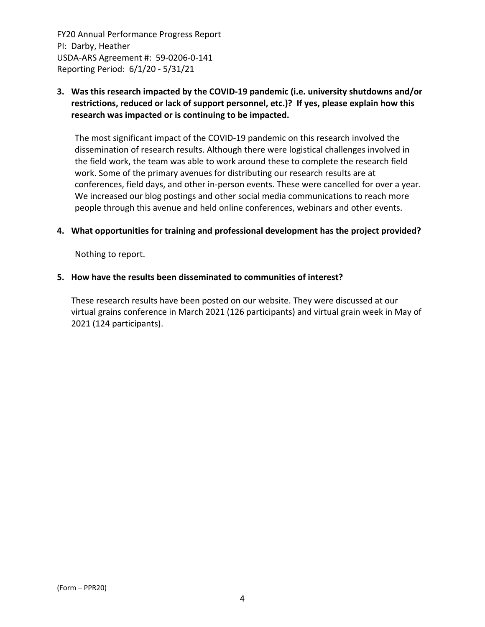# **3. Was this research impacted by the COVID‐19 pandemic (i.e. university shutdowns and/or restrictions, reduced or lack of support personnel, etc.)? If yes, please explain how this research was impacted or is continuing to be impacted.**

The most significant impact of the COVID‐19 pandemic on this research involved the dissemination of research results. Although there were logistical challenges involved in the field work, the team was able to work around these to complete the research field work. Some of the primary avenues for distributing our research results are at conferences, field days, and other in‐person events. These were cancelled for over a year. We increased our blog postings and other social media communications to reach more people through this avenue and held online conferences, webinars and other events.

#### **4. What opportunities for training and professional development has the project provided?**

Nothing to report.

#### **5. How have the results been disseminated to communities of interest?**

These research results have been posted on our website. They were discussed at our virtual grains conference in March 2021 (126 participants) and virtual grain week in May of 2021 (124 participants).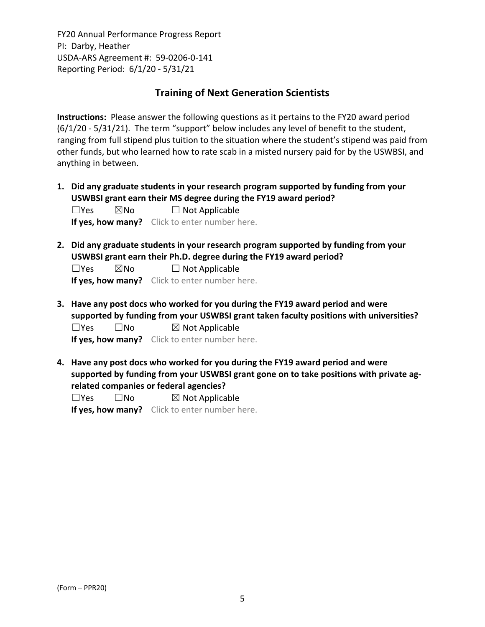# **Training of Next Generation Scientists**

**Instructions:** Please answer the following questions as it pertains to the FY20 award period (6/1/20 ‐ 5/31/21). The term "support" below includes any level of benefit to the student, ranging from full stipend plus tuition to the situation where the student's stipend was paid from other funds, but who learned how to rate scab in a misted nursery paid for by the USWBSI, and anything in between.

**1. Did any graduate students in your research program supported by funding from your USWBSI grant earn their MS degree during the FY19 award period?**  $\square$ Yes  $\square$ No  $\square$  Not Applicable

**If yes, how many?** Click to enter number here.

**2. Did any graduate students in your research program supported by funding from your USWBSI grant earn their Ph.D. degree during the FY19 award period?**

 $\square$ Yes  $\square$ No  $\square$  Not Applicable

**If yes, how many?** Click to enter number here.

**3. Have any post docs who worked for you during the FY19 award period and were supported by funding from your USWBSI grant taken faculty positions with universities?**  $\square$ Yes  $\square$ No  $\square$  Not Applicable

**If yes, how many?** Click to enter number here.

**4. Have any post docs who worked for you during the FY19 award period and were supported by funding from your USWBSI grant gone on to take positions with private ag‐ related companies or federal agencies?**

 $\square$ Yes  $\square$ No  $\square$  Not Applicable **If yes, how many?** Click to enter number here.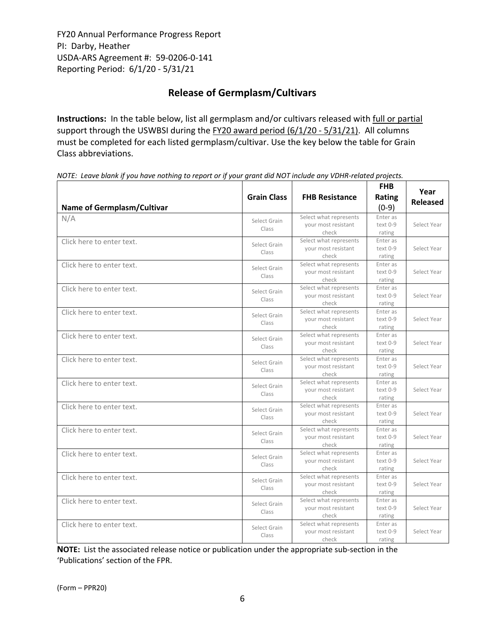# **Release of Germplasm/Cultivars**

**Instructions:** In the table below, list all germplasm and/or cultivars released with full or partial support through the USWBSI during the FY20 award period (6/1/20 - 5/31/21). All columns must be completed for each listed germplasm/cultivar. Use the key below the table for Grain Class abbreviations. 

| Name of Germplasm/Cultivar | <b>Grain Class</b>    | <b>FHB Resistance</b>                                  | <b>FHB</b><br><b>Rating</b><br>$(0-9)$ | Year<br><b>Released</b> |
|----------------------------|-----------------------|--------------------------------------------------------|----------------------------------------|-------------------------|
| N/A                        | Select Grain<br>Class | Select what represents<br>your most resistant<br>check | Enter as<br>text 0-9<br>rating         | Select Year             |
| Click here to enter text.  | Select Grain<br>Class | Select what represents<br>your most resistant<br>check | Enter as<br>text 0-9<br>rating         | Select Year             |
| Click here to enter text.  | Select Grain<br>Class | Select what represents<br>vour most resistant<br>check | Enter as<br>text 0-9<br>rating         | Select Year             |
| Click here to enter text.  | Select Grain<br>Class | Select what represents<br>your most resistant<br>check | Enter as<br>text 0-9<br>rating         | Select Year             |
| Click here to enter text.  | Select Grain<br>Class | Select what represents<br>your most resistant<br>check | Enter as<br>text 0-9<br>rating         | Select Year             |
| Click here to enter text.  | Select Grain<br>Class | Select what represents<br>your most resistant<br>check | Enter as<br>text 0-9<br>rating         | Select Year             |
| Click here to enter text.  | Select Grain<br>Class | Select what represents<br>your most resistant<br>check | Enter as<br>text 0-9<br>rating         | Select Year             |
| Click here to enter text.  | Select Grain<br>Class | Select what represents<br>your most resistant<br>check | Enter as<br>text 0-9<br>rating         | Select Year             |
| Click here to enter text.  | Select Grain<br>Class | Select what represents<br>your most resistant<br>check | Enter as<br>text 0-9<br>rating         | Select Year             |
| Click here to enter text.  | Select Grain<br>Class | Select what represents<br>your most resistant<br>check | Enter as<br>text 0-9<br>rating         | Select Year             |
| Click here to enter text.  | Select Grain<br>Class | Select what represents<br>your most resistant<br>check | Enter as<br>text 0-9<br>rating         | Select Year             |
| Click here to enter text.  | Select Grain<br>Class | Select what represents<br>your most resistant<br>check | Enter as<br>text 0-9<br>rating         | Select Year             |
| Click here to enter text.  | Select Grain<br>Class | Select what represents<br>your most resistant<br>check | Enter as<br>text 0-9<br>rating         | Select Year             |
| Click here to enter text.  | Select Grain<br>Class | Select what represents<br>your most resistant<br>check | Enter as<br>text 0-9<br>rating         | Select Year             |

NOTE: Leave blank if you have nothing to report or if your grant did NOT include any VDHR-related projects.

**NOTE:** List the associated release notice or publication under the appropriate sub-section in the 'Publications' section of the FPR.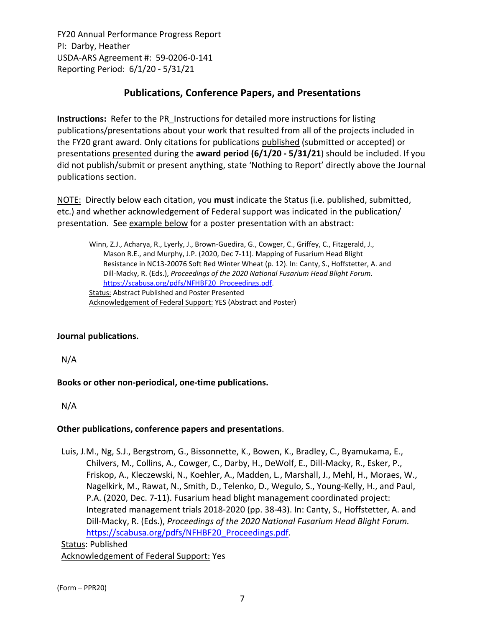# **Publications, Conference Papers, and Presentations**

**Instructions:** Refer to the PR\_Instructions for detailed more instructions for listing publications/presentations about your work that resulted from all of the projects included in the FY20 grant award. Only citations for publications published (submitted or accepted) or presentations presented during the **award period (6/1/20 ‐ 5/31/21**) should be included. If you did not publish/submit or present anything, state 'Nothing to Report' directly above the Journal publications section.

NOTE: Directly below each citation, you **must** indicate the Status (i.e. published, submitted, etc.) and whether acknowledgement of Federal support was indicated in the publication/ presentation. See example below for a poster presentation with an abstract:

Winn, Z.J., Acharya, R., Lyerly, J., Brown‐Guedira, G., Cowger, C., Griffey, C., Fitzgerald, J., Mason R.E., and Murphy, J.P. (2020, Dec 7‐11). Mapping of Fusarium Head Blight Resistance in NC13‐20076 Soft Red Winter Wheat (p. 12). In: Canty, S., Hoffstetter, A. and Dill‐Macky, R. (Eds.), *Proceedings of the 2020 National Fusarium Head Blight Forum*. https://scabusa.org/pdfs/NFHBF20\_Proceedings.pdf. Status: Abstract Published and Poster Presented Acknowledgement of Federal Support: YES (Abstract and Poster)

# **Journal publications.**

N/A

# **Books or other non‐periodical, one‐time publications.**

N/A

# **Other publications, conference papers and presentations**.

Luis, J.M., Ng, S.J., Bergstrom, G., Bissonnette, K., Bowen, K., Bradley, C., Byamukama, E., Chilvers, M., Collins, A., Cowger, C., Darby, H., DeWolf, E., Dill‐Macky, R., Esker, P., Friskop, A., Kleczewski, N., Koehler, A., Madden, L., Marshall, J., Mehl, H., Moraes, W., Nagelkirk, M., Rawat, N., Smith, D., Telenko, D., Wegulo, S., Young‐Kelly, H., and Paul, P.A. (2020, Dec. 7‐11). Fusarium head blight management coordinated project: Integrated management trials 2018‐2020 (pp. 38‐43). In: Canty, S., Hoffstetter, A. and Dill‐Macky, R. (Eds.), *Proceedings of the 2020 National Fusarium Head Blight Forum.* https://scabusa.org/pdfs/NFHBF20\_Proceedings.pdf.

Status: Published Acknowledgement of Federal Support: Yes